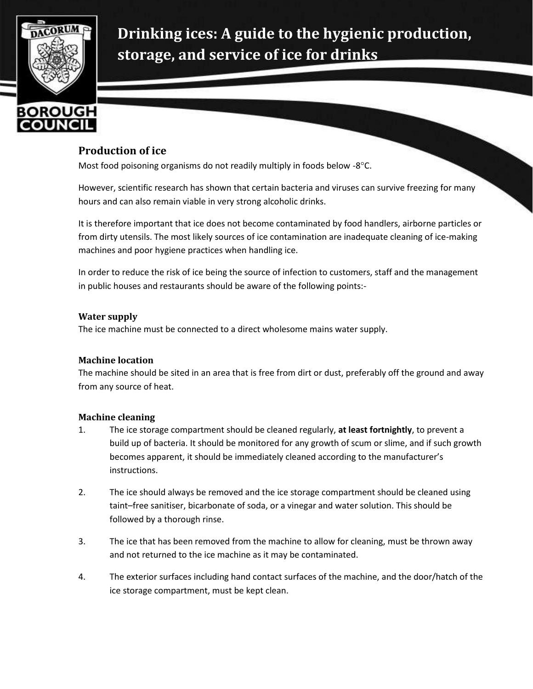

**Drinking ices: A guide to the hygienic production, storage, and service of ice for drinks**

## **Production of ice**

Most food poisoning organisms do not readily multiply in foods below  $-8^{\circ}$ C.

However, scientific research has shown that certain bacteria and viruses can survive freezing for many hours and can also remain viable in very strong alcoholic drinks.

It is therefore important that ice does not become contaminated by food handlers, airborne particles or from dirty utensils. The most likely sources of ice contamination are inadequate cleaning of ice-making machines and poor hygiene practices when handling ice.

In order to reduce the risk of ice being the source of infection to customers, staff and the management in public houses and restaurants should be aware of the following points:-

### **Water supply**

The ice machine must be connected to a direct wholesome mains water supply.

### **Machine location**

The machine should be sited in an area that is free from dirt or dust, preferably off the ground and away from any source of heat.

### **Machine cleaning**

- 1. The ice storage compartment should be cleaned regularly, **at least fortnightly**, to prevent a build up of bacteria. It should be monitored for any growth of scum or slime, and if such growth becomes apparent, it should be immediately cleaned according to the manufacturer's instructions.
- 2. The ice should always be removed and the ice storage compartment should be cleaned using taint–free sanitiser, bicarbonate of soda, or a vinegar and water solution. This should be followed by a thorough rinse.
- 3. The ice that has been removed from the machine to allow for cleaning, must be thrown away and not returned to the ice machine as it may be contaminated.
- 4. The exterior surfaces including hand contact surfaces of the machine, and the door/hatch of the ice storage compartment, must be kept clean.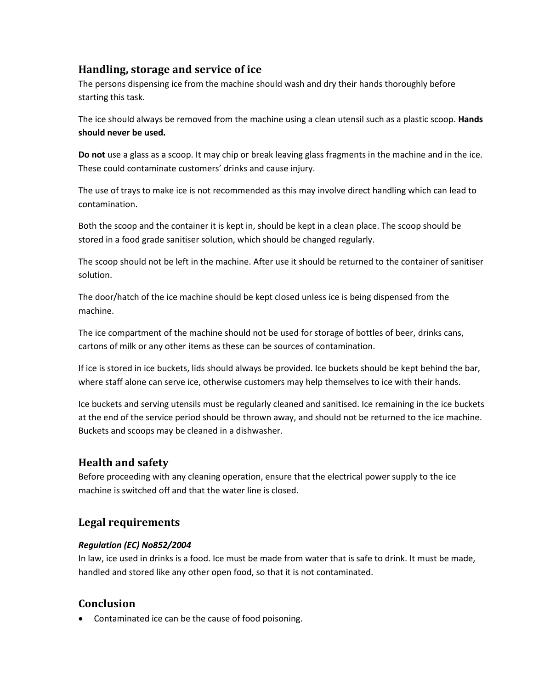## **Handling, storage and service of ice**

The persons dispensing ice from the machine should wash and dry their hands thoroughly before starting this task.

The ice should always be removed from the machine using a clean utensil such as a plastic scoop. **Hands should never be used.**

**Do not** use a glass as a scoop. It may chip or break leaving glass fragments in the machine and in the ice. These could contaminate customers' drinks and cause injury.

The use of trays to make ice is not recommended as this may involve direct handling which can lead to contamination.

Both the scoop and the container it is kept in, should be kept in a clean place. The scoop should be stored in a food grade sanitiser solution, which should be changed regularly.

The scoop should not be left in the machine. After use it should be returned to the container of sanitiser solution.

The door/hatch of the ice machine should be kept closed unless ice is being dispensed from the machine.

The ice compartment of the machine should not be used for storage of bottles of beer, drinks cans, cartons of milk or any other items as these can be sources of contamination.

If ice is stored in ice buckets, lids should always be provided. Ice buckets should be kept behind the bar, where staff alone can serve ice, otherwise customers may help themselves to ice with their hands.

Ice buckets and serving utensils must be regularly cleaned and sanitised. Ice remaining in the ice buckets at the end of the service period should be thrown away, and should not be returned to the ice machine. Buckets and scoops may be cleaned in a dishwasher.

# **Health and safety**

Before proceeding with any cleaning operation, ensure that the electrical power supply to the ice machine is switched off and that the water line is closed.

# **Legal requirements**

### *Regulation (EC) No852/2004*

In law, ice used in drinks is a food. Ice must be made from water that is safe to drink. It must be made, handled and stored like any other open food, so that it is not contaminated.

# **Conclusion**

Contaminated ice can be the cause of food poisoning.